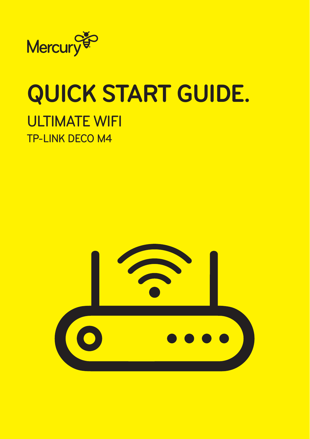

# **QUICK START GUIDE.** ULTIMATE WIFI TP-LINK DECO M4

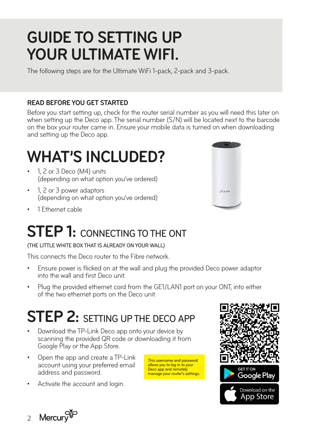#### **GUIDE TO SETTING UP YOUR ULTIMATE WIFI.**

The following steps are for the Ultimate WiFi 1-pack, 2-pack and 3-pack.

#### **READ BEFORE YOU GET STARTED**

Before you start setting up, check for the router serial number as you will need this later on when setting up the Deco app. The serial number (S/N) will be located next to the barcode on the box your router came in. Ensure your mobile data is turned on when downloading and setting up the Deco app.

### **WHAT'S INCLUDED?**

- 1, 2 or 3 Deco (M4) units (depending on what option you've ordered)
- 1, 2 or 3 power adaptors (depending on what option you've ordered)
- 1 Ethernet cable

#### **STEP 1: CONNECTING TO THE ONT**

(THE LITTLE WHITE BOX THAT IS ALREADY ON YOUR WALL)

This connects the Deco router to the Fibre network.

- Ensure power is flicked on at the wall and plug the provided Deco power adaptor into the wall and first Deco unit.
- Plug the provided ethernet cord from the GE1/LAN1 port on your ONT, into either of the two ethernet ports on the Deco unit.

### **STEP 2: SETTING UP THE DECO APP**

- Download the TP-Link Deco app onto your device by scanning the provided QR code or downloading it from Google Play or the App Store.
- Open the app and create a TP-Link account using your preferred email address and password.
- Activate the account and login.







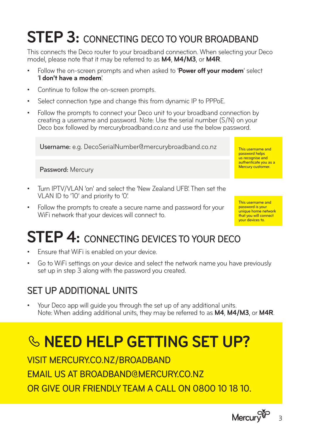## **STEP 3:** CONNECTING DECO TO YOUR BROADBAND

This connects the Deco router to your broadband connection. When selecting your Deco model, please note that it may be referred to as **M4**, **M4/M3**, or **M4R**.

- Follow the on-screen prompts and when asked to '**Power off your modem**' select '**I don't have a modem**'.
- Continue to follow the on-screen prompts.
- Select connection type and change this from dynamic IP to PPPoE.
- Follow the prompts to connect your Deco unit to your broadband connection by creating a username and password. Note: Use the serial number (S/N) on your Deco box followed by mercurybroadband.co.nz and use the below password.

Username: e.g. DecoSerialNumber@mercurybroadband.co.nz

#### Password: Mercury

- Turn IPTV/VLAN 'on' and select the 'New Zealand UFB'. Then set the VLAN ID to '10' and priority to '0'.
- Follow the prompts to create a secure name and password for your WiFi network that your devices will connect to.

**STEP 4: CONNECTING DEVICES TO YOUR DECO** 

- Ensure that WiFi is enabled on your device.
- Go to WiFi settings on your device and select the network name you have previously set up in step 3 along with the password you created.

#### SET UP ADDITIONAL UNITS

• Your Deco app will guide you through the set up of any additional units. Note: When adding additional units, they may be referred to as **M4**, **M4/M3**, or **M4R**.

#### **NEED HELP GETTING SET UP?**

VISIT MERCURY.CO.NZ/BROADBAND EMAIL US AT BROADBAND@MERCURY.CO.NZ OR GIVE OUR FRIENDLY TEAM A CALL ON 0800 10 18 10.

> Mercury<sup>es</sup> 3

This username and password helps us recognise and authenticate you as a Mercury customer.

This username and password is your unique home network that you will connect your devices to.